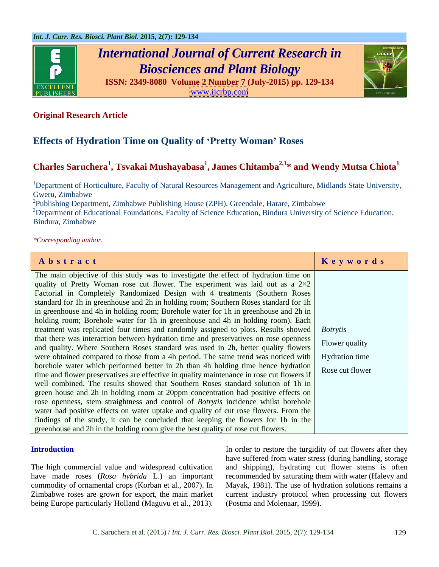

# *International Journal of Current Research in Biosciences and Plant Biology*





### **Original Research Article**

### **Effects of Hydration Time on Quality of Pretty Woman Roses**

## **Charles Saruchera<sup>1</sup> , Tsvakai Mushayabasa<sup>1</sup> , James Chitamba2,3\* and Wendy Mutsa Chiota1**

<sup>1</sup>Department of Horticulture, Faculty of Natural Resources Management and Agriculture, Midlands State University, Gweru, Zimbabwe

<sup>2</sup>Publishing Department, Zimbabwe Publishing House (ZPH), Greendale, Harare, Zimbabwe

<sup>3</sup>Department of Educational Foundations, Faculty of Science Education, Bindura University of Science Education, Bindura, Zimbabwe

### *\*Corresponding author.*

|                                                                                                  | Keywords       |
|--------------------------------------------------------------------------------------------------|----------------|
| Abstract                                                                                         |                |
| The main objective of this study was to investigate the effect of hydration time on              |                |
| quality of Pretty Woman rose cut flower. The experiment was laid out as a $2\times2$             |                |
| Factorial in Completely Randomized Design with 4 treatments (Southern Roses                      |                |
| standard for 1h in greenhouse and 2h in holding room; Southern Roses standard for 1h             |                |
| in greenhouse and 4h in holding room; Borehole water for 1h in greenhouse and 2h in              |                |
| holding room; Borehole water for 1h in greenhouse and 4h in holding room). Each                  |                |
| treatment was replicated four times and randomly assigned to plots. Results showed   Botrytis    |                |
| that there was interaction between hydration time and preservatives on rose openness             | Flower quality |
| and quality. Where Southern Roses standard was used in 2h, better quality flowers                |                |
| were obtained compared to those from a 4h period. The same trend was noticed with Hydration time |                |
| borehole water which performed better in 2h than 4h holding time hence hydration Rose cut flower |                |
| time and flower preservatives are effective in quality maintenance in rose cut flowers if        |                |
| well combined. The results showed that Southern Roses standard solution of 1h in                 |                |
| green house and 2h in holding room at 20ppm concentration had positive effects on                |                |
| rose openness, stem straightness and control of Botrytis incidence whilst borehole               |                |
| water had positive effects on water uptake and quality of cut rose flowers. From the             |                |
| findings of the study, it can be concluded that keeping the flowers for 1h in the                |                |
| greenhouse and 2h in the holding room give the best quality of rose cut flowers.                 |                |

In order to restore the turgidity of cut flowers after they The high commercial value and widespread cultivation and shipping), hydrating cut flower stems is often have made roses (*Rosa hybrida* L.) an important recommended by saturating them with water (Halevy and commodity of ornamental crops (Korban et al., 2007). In Mayak, 1981). The use of hydration solutions remains a Zimbabwe roses are grown for export, the main market current industry protocol when processing cut flowers **In order to restore the turgidity of cut flowers after they**<br>
the high commercial value and widespread cultivation<br>
have suffered from water stress (during handling, storage<br>
have made roses (*Rosa hybrida* L.) an importa have suffered from water stress (during handling, storage (Postma and Molenaar, 1999).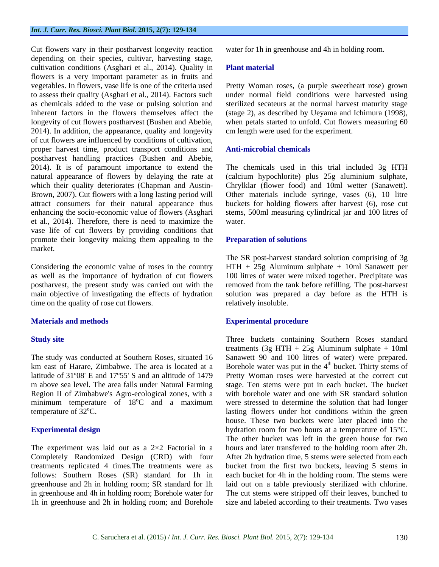Cut flowers vary in their postharvest longevity reaction depending on their species, cultivar, harvesting stage, cultivation conditions (Asghari et al., 2014). Quality in Plant material flowers is a very important parameter as in fruits and vegetables. In flowers, vase life is one of the criteria used Pretty Woman roses, (a purple sweetheart rose) grown to assess their quality (Asghari et al., 2014). Factors such as chemicals added to the vase or pulsing solution and sterilized secateurs at the normal harvestmaturity stage inherent factors in the flowers themselves affect the (stage 2), as described by Ueyama and Ichimura (1998), longevity of cut flowers postharvest (Bushen and Abebie, 2014). In addition, the appearance, quality and longevity of cut flowers are influenced by conditions of cultivation, proper harvest time, product transport conditions and postharvest handling practices (Bushen and Abebie, 2014). It is of paramount importance to extend the natural appearance of flowers by delaying the rate at (calcium hypochlorite) plus 25g aluminium sulphate, which their quality deteriorates (Chapman and Austin- Chrylklar (flower food) and 10ml wetter (Sanawett). Brown, 2007). Cut flowers with a long lasting period will Other materials include syringe, vases (6), 10 litre attract consumers for their natural appearance thus buckets for holding flowers after harvest (6), rose cut enhancing the socio-economic value of flowers (Asghari stems, 500ml measuring cylindrical jar and 100 litres of et al., 2014). Therefore, there is need to maximize the vase life of cut flowers by providing conditions that promote their longevity making them appealing to the market.

Considering the economic value of roses in the country  $HTH + 25g$  Aluminum sulphate  $+ 10m$ l Sanawett per as well as the importance of hydration of cut flowers 100 litres of water were mixed together. Precipitate was postharvest, the present study was carried out with the removed from the tank before refilling. The post-harvest main objective of investigating the effects of hydration solution was prepared a day before as the HTH is time on the quality of rose cut flowers.

Region II of Zimbabwe's Agro-ecological zones, with a

The experiment was laid out as a  $2\times 2$  Factorial in a Completely Randomized Design (CRD) with four water for 1h in greenhouse and 4h in holding room.

### **Plant material**

under normal field conditions were harvested using when petals started to unfold. Cut flowers measuring 60 cm length were used for the experiment.

### **Anti-microbial chemicals**

The chemicals used in this trial included 3g HTH water.

### **Preparation of solutions**

The SR post-harvest standard solution comprising of 3g relatively insoluble.

### **Materials and methods Experimental procedure**

**Study site** Three buckets containing Southern Roses standard The study was conducted at Southern Roses, situated 16 Sanawett 90 and 100 litres of water) were prepared. km east of Harare, Zimbabwe. The area is located at a Borehole water was put in the 4<sup>th</sup> bucket. Thirty stems of latitude of 31º08' E and 17º55' S and an altitude of 1479 Pretty Woman roses were harvested at the correct cut m above sea level. The area falls under Natural Farming stage. Ten stems were put in each bucket. The bucket minimum temperature of 18°C and a maximum were stressed to determine the solution that had longer temperature of 32°C. Iasting flowers under hot conditions within the green **Experimental design** hydration room for two hours at a temperature of 15°C. treatments replicated 4 times.The treatments were as bucket from the first two buckets, leaving 5 stems in follows: Southern Roses (SR) standard for 1h in each bucket for 4h in the holding room. The stems were greenhouse and 2h in holding room; SR standard for 1h laid out on a table previously sterilized with chlorine. in greenhouse and 4h in holding room; Borehole water for The cut stems were stripped off their leaves, bunched to 1h in greenhouse and 2h in holding room; and Borehole size and labeled according to their treatments. Two vasestreatments  $(3g HTH + 25g A$ luminum sulphate + 10ml <sup>th</sup> bucket. Thirty stems of with borehole water and one with SR standard solution house. These two buckets were later placed into the The other bucket was left in the green house for two hours and later transferred to the holding room after 2h. After 2h hydration time, 5 stems were selected from each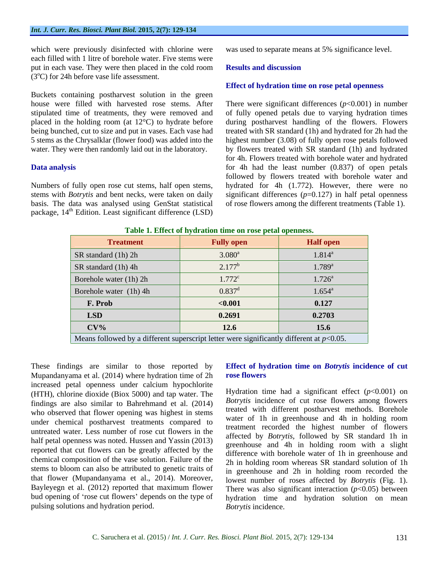which were previously disinfected with chlorine were each filled with 1 litre of borehole water. Five stems were put in each vase. They were then placed in the cold room **Results and discussion**  $(3^{\circ}C)$  for 24h before vase life assessment.

Buckets containing postharvest solution in the green

basis. The data was analysed using GenStat statistical package, 14<sup>th</sup> Edition. Least significant difference (LSD)

was used to separate means at 5% significance level.

### **Results and discussion**

### **Effect of hydration time on rose petal openness**

house were filled with harvested rose stems. After There were significant differences (*p*<0.001) in number stipulated time of treatments, they were removed and of fully opened petals due to varying hydration times placed in the holding room (at 12°C) to hydrate before during postharvest handling of the flowers. Flowers being bunched, cut to size and put in vases. Each vase had treated with SR standard (1h) and hydrated for 2h had the 5 stems as the Chrysalklar (flower food) was added into the highest number (3.08) of fully open rose petals followed water. They were then randomly laid out in the laboratory. by flowers treated with SR standard (1h) and hydrated **Data analysis** for 4h had the least number (0.837) of open petals Numbers of fully open rose cut stems, half open stems, hydrated for 4h (1.772). However, there were no stems with *Botrytis* and bent necks, were taken on daily significant differences (*p*=0.127) in half petal openness for 4h. Flowers treated with borehole water and hydrated followed by flowers treated with borehole water and of rose flowers among the different treatments (Table 1).

| Tuble 1. Effect of hydration three on rose pean openhess.                                   |                   |                  |  |
|---------------------------------------------------------------------------------------------|-------------------|------------------|--|
| <b>Treatment</b>                                                                            | <b>Fully open</b> | <b>Half</b> open |  |
| SR standard (1h) 2h                                                                         | $3.080^a$         | $1.814^a$        |  |
| SR standard (1h) 4h                                                                         | $2.177^b$         | $1.789^{a}$      |  |
| Borehole water (1h) 2h                                                                      | $1.772^c$         | $1.726^{\circ}$  |  |
| Borehole water (1h) 4h                                                                      | $0.837^d$         | $1.654^{\rm a}$  |  |
| F. Prob                                                                                     | < 0.001           | 0.127            |  |
| <b>LSD</b>                                                                                  | 0.2691            | 0.2703           |  |
| $CV\%$                                                                                      | 12.6              | 15.6             |  |
| Means followed by a different superscript letter were significantly different at $p<0.05$ . |                   |                  |  |

**Table 1. Effect of hydration time on rose petal openness.**

Mupandanyama et al. (2014) where hydration time of 2h rose flowers increased petal openness under calcium hypochlorite (HTH), chlorine dioxide (Biox 5000) and tap water. The findings are also similar to Bahrehmand et al. (2014) who observed that flower opening was highest in stems under chemical postharvest treatments compared to untreated water. Less number of rose cut flowers in the half petal openness was noted. Hussen and Yassin (2013) reported that cut flowers can be greatly affected by the chemical composition of the vase solution. Failure of the stems to bloom can also be attributed to genetic traits of pulsing solutions and hydration period.

### These findings are similar to those reported by **Effect of hydration time on** *Botrytis* **incidence of cut rose flowers**

that flower (Mupandanyama et al., 2014). Moreover, lowest number of roses affected by *Botrytis* (Fig. 1). Bayleyegn et al. (2012) reported that maximum flower There was also significant interaction (*p*<0.05) between bud opening of 'rose cut flowers' depends on the type of hydration time and hydration solution on mean Hydration time had a significant effect  $(p<0.001)$  on *Botrytis* incidence of cut rose flowers among flowers treated with different postharvest methods. Borehole water of 1h in greenhouse and 4h in holding room treatment recorded the highest number of flowers affected by *Botrytis*, followed by SR standard 1h in greenhouse and 4h in holding room with a slight difference with borehole water of 1h in greenhouse and 2h in holding room whereas SR standard solution of 1h in greenhouse and 2h in holding room recorded the *Botrytis* incidence.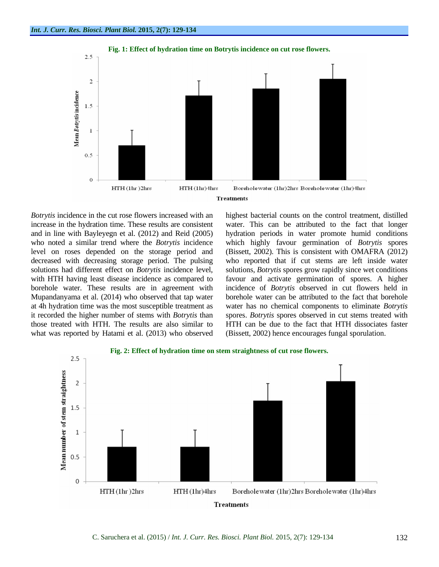

increase in the hydration time. These results are consistent level on roses depended on the storage period and solutions had different effect on *Botrytis* incidence level, those treated with HTH. The results are also similar to what was reported by Hatami et al. (2013) who observed

*Botrytis* incidence in the cut rose flowers increased with an highest bacterial counts on the control treatment, distilled and in line with Bayleyegn et al. (2012) and Reid (2005) hydration periods in water promote humid conditions who noted a similar trend where the *Botrytis* incidence which highly favour germination of *Botrytis* spores decreased with decreasing storage period. The pulsing who reported that if cut stems are left inside water with HTH having least disease incidence as compared to favour and activate germination of spores. A higher borehole water. These results are in agreement with incidence of *Botrytis* observed in cut flowers held in Mupandanyama et al. (2014) who observed that tap water borehole water can be attributed to the fact that borehole at 4h hydration time was the most susceptible treatment as water has no chemical components to eliminate *Botrytis*  it recorded the higher number of stems with *Botrytis* than spores. *Botrytis* spores observed in cut stems treated with water. This can be attributed to the fact that longer (Bissett, 2002). This is consistent with OMAFRA (2012) solutions, *Botrytis* spores grow rapidly since wet conditions HTH can be due to the fact that HTH dissociates faster (Bissett, 2002) hence encourages fungal sporulation.

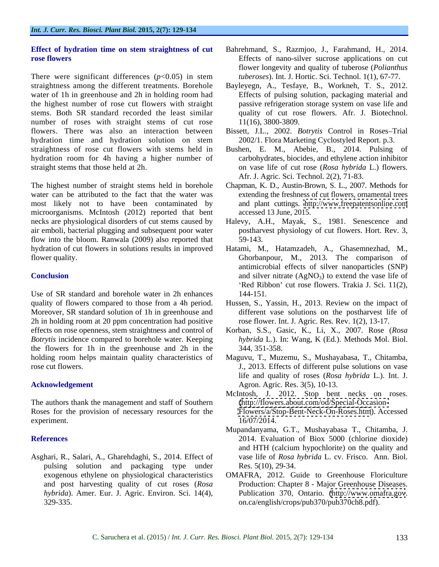There were significant differences  $(p<0.05)$  in stem straightness among the different treatments. Borehole Bayleyegn, A., Tesfaye, B., Workneh, T. S., 2012. water of 1h in greenhouse and 2h in holding room had the highest number of rose cut flowers with straight stems. Both SR standard recorded the least similar number of roses with straight stems of cut rose flowers. There was also an interaction between Bissett, J.L., 2002. *Botrytis* Control in Roses Trial hydration time and hydration solution on stem straightness of rose cut flowers with stems held in Bushen, E. M., Abebie, B., 2014. Pulsing of hydration room for 4h having a higher number of straight stems that those held at 2h. on vase life of cut rose (*Rosa hybrida* L.) flowers.

The highest number of straight stems held in borehole water can be attributed to the fact that the water was most likely not to have been contaminated by and plant cuttings. <http://www.freepatentsonline.com> microorganisms. McIntosh (2012) reported that bent necks are physiological disorders of cut stems caused by air emboli, bacterial plugging and subsequent poor water flow into the bloom. Ranwala (2009) also reported that 59-143.

Use of SR standard and borehole water in 2h enhances 144-151. quality of flowers compared to those from a 4h period. Hussen, S., Yassin, H., 2013. Review on the impact of Moreover, SR standard solution of 1h in greenhouse and 2h in holding room at 20 ppm concentration had positive effects on rose openness, stem straightness and control of Korban, S.S., Gasic, K., Li, X., 2007. Rose (*Rosa Botrytis* incidence compared to borehole water. Keeping the flowers for 1h in the greenhouse and 2h in the holding room helps maintain quality characteristics of Maguvu, T., Muzemu, S., Mushayabasa, T., Chitamba,

The authors thank the management and staff of Southern Roses for the provision of necessary resources for the <Flowers/a/Stop-Bent-Neck-On-Roses.htm>). Accessed  $\alpha$  experiment.  $16/07/2014$ .

Asghari, R., Salari, A., Gharehdaghi, S., 2014. Effect of pulsing solution and packaging type under

- **Effect of hydration time on stem straightness of cut rose flowers rose rose rose rose rose rose rose rose rose rose rose rose rose rose rose rose rose** *rose rose rose rose rose rose rose rose rose <i>rose* Bahrehmand, S., Razmjoo, J., Farahmand, H., 2014. Effects of nano-silver sucrose applications on cut flower longevity and quality of tuberose (*Polianthus tuberoses*). Int. J. Hortic. Sci. Technol. 1(1), 67-77.
	- Effects of pulsing solution, packaging material and passive refrigeration storage system on vase life and quality of cut rose flowers. Afr. J. Biotechnol. 11(16), 3800-3809.
	- 2002/1. Flora Marketing Cyclostyled Report. p.3.
	- carbohydrates, biocides, and ethylene action inhibitor Afr. J. Agric. Sci. Technol. 2(2), 71-83.
	- Chapman, K. D., Austin-Brown, S. L., 2007. Methods for extending the freshness of cut flowers, ornamental trees accessed 13 June, 2015.
	- Halevy, A.H., Mayak, S., 1981. Senescence and postharvest physiology of cut flowers. Hort. Rev. 3, 59-143.
- hydration of cut flowers in solutions results in improved Hatami, M., Hatamzadeh, A., Ghasemnezhad, M., flower quality. Ghorbanpour, M., 2013. The comparison of **Conclusion** and silver nitrate  $(AgNO<sub>3</sub>)$  to extend the vase life of antimicrobial effects of silver nanoparticles (SNP) 'Red Ribbon' cut rose flowers. Trakia J. Sci. 11(2), 144-151.
	- different vase solutions on the postharvest life of rose flower. Int. J. Agric. Res. Rev. 1(2), 13-17.
	- *hybrida* L.). In: Wang, K (Ed.). Methods Mol. Biol. 344, 351-358.
- rose cut flowers. J., 2013. Effects of different pulse solutions on vase Acknowledgement Agron. Agron. Agric. Res. 3(5), 10-13. life and quality of roses (*Rosa hybrida* L.). Int. J.
	- McIntosh, J. 2012. Stop bent necks on roses. [\(http://flowers.about.com/od/Special-Occasion-](http://flowers.about.com/od/Special-Occasion-) 16/07/2014.
- **References** 2014. Evaluation of Biox 5000 (chlorine dioxide) Mupandanyama, G.T., Mushayabasa T., Chitamba, J. and HTH (calcium hypochlorite) on the quality and vase life of *Rosa hybrida* L. cv. Frisco. Ann. Biol. Res. 5(10), 29-34.
	- exogenous ethylene on physiological characteristics OMAFRA, 2012. Guide to Greenhouse Floriculture and post harvesting quality of cut roses (*Rosa*  Production: Chapter 8 - Major Greenhouse Diseases. *hybrida*). Amer. Eur. J. Agric. Environ. Sci. 14(4), Publication 370, Ontario. [\(http://www.omafra.gov](http://www.omafra.gov). 329-335. on.ca/english/crops/pub370/pub370ch8.pdf).